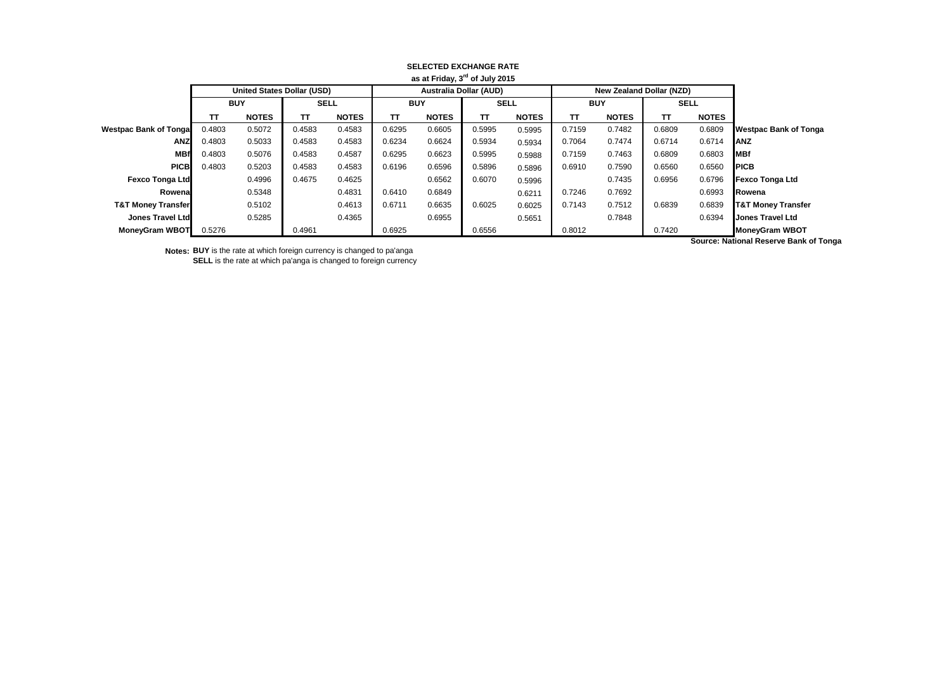| as at Friday, 3 <sup>-</sup> of July 2015 |                                   |              |             |              |                               |              |             |              |            |                                 |             |              |                               |
|-------------------------------------------|-----------------------------------|--------------|-------------|--------------|-------------------------------|--------------|-------------|--------------|------------|---------------------------------|-------------|--------------|-------------------------------|
|                                           | <b>United States Dollar (USD)</b> |              |             |              | <b>Australia Dollar (AUD)</b> |              |             |              |            | <b>New Zealand Dollar (NZD)</b> |             |              |                               |
|                                           | <b>BUY</b>                        |              | <b>SELL</b> |              | BUY                           |              | <b>SELL</b> |              | <b>BUY</b> |                                 | <b>SELL</b> |              |                               |
|                                           | TΤ                                | <b>NOTES</b> | <b>TT</b>   | <b>NOTES</b> | тт                            | <b>NOTES</b> | тт          | <b>NOTES</b> | <b>TT</b>  | <b>NOTES</b>                    | TT.         | <b>NOTES</b> |                               |
| <b>Westpac Bank of Tongal</b>             | 0.4803                            | 0.5072       | 0.4583      | 0.4583       | 0.6295                        | 0.6605       | 0.5995      | 0.5995       | 0.7159     | 0.7482                          | 0.6809      | 0.6809       | <b>Westpac Bank of Tonga</b>  |
| <b>ANZ</b>                                | 0.4803                            | 0.5033       | 0.4583      | 0.4583       | 0.6234                        | 0.6624       | 0.5934      | 0.5934       | 0.7064     | 0.7474                          | 0.6714      | 0.6714       | <b>IANZ</b>                   |
| <b>MBf</b>                                | 0.4803                            | 0.5076       | 0.4583      | 0.4587       | 0.6295                        | 0.6623       | 0.5995      | 0.5988       | 0.7159     | 0.7463                          | 0.6809      | 0.6803       | <b>IMBf</b>                   |
| <b>PICB</b>                               | 0.4803                            | 0.5203       | 0.4583      | 0.4583       | 0.6196                        | 0.6596       | 0.5896      | 0.5896       | 0.6910     | 0.7590                          | 0.6560      | 0.6560       | <b>IPICB</b>                  |
| <b>Fexco Tonga Ltdl</b>                   |                                   | 0.4996       | 0.4675      | 0.4625       |                               | 0.6562       | 0.6070      | 0.5996       |            | 0.7435                          | 0.6956      | 0.6796       | Fexco Tonga Ltd               |
| Rowenal                                   |                                   | 0.5348       |             | 0.4831       | 0.6410                        | 0.6849       |             | 0.6211       | 0.7246     | 0.7692                          |             | 0.6993       | <b>IRowena</b>                |
| <b>T&amp;T Money Transfer</b>             |                                   | 0.5102       |             | 0.4613       | 0.6711                        | 0.6635       | 0.6025      | 0.6025       | 0.7143     | 0.7512                          | 0.6839      | 0.6839       | <b>T&amp;T Money Transfer</b> |
| Jones Travel Ltd                          |                                   | 0.5285       |             | 0.4365       |                               | 0.6955       |             | 0.5651       |            | 0.7848                          |             | 0.6394       | <b>Jones Travel Ltd</b>       |
| MoneyGram WBOT                            | 0.5276                            |              | 0.4961      |              | 0.6925                        |              | 0.6556      |              | 0.8012     |                                 | 0.7420      |              | <b>MoneyGram WBOT</b>         |

### **SELECTED EXCHANGE RATE as at Friday, 3rd of July 2015**

**Notes: BUY** is the rate at which foreign currency is changed to pa'anga **SELL** is the rate at which pa'anga is changed to foreign currency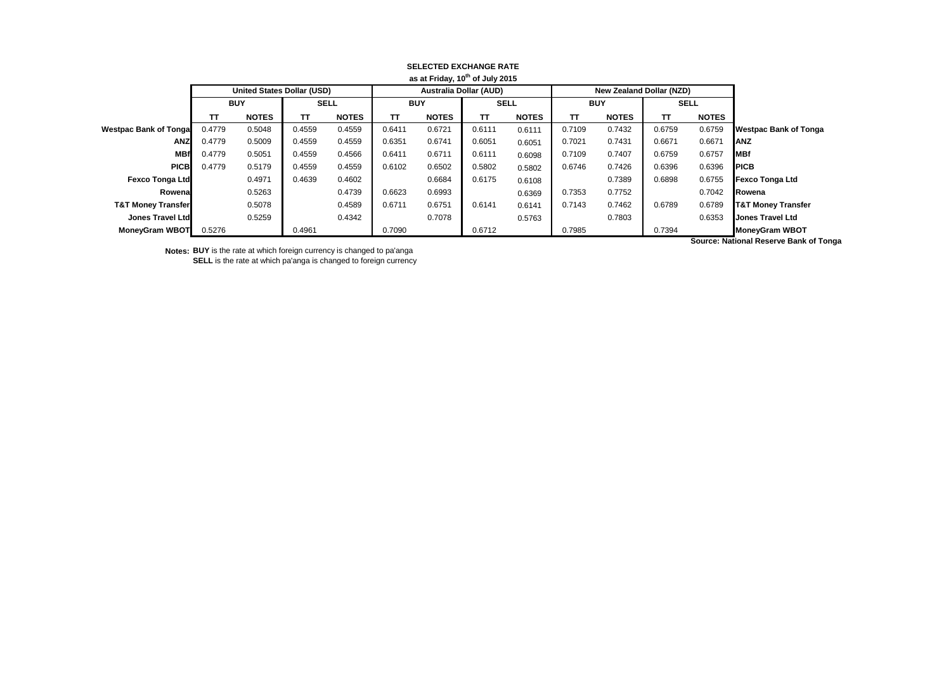| as at Friday, 10 or July 2015 |            |                                   |             |              |                               |              |             |              |            |                                 |             |              |                               |
|-------------------------------|------------|-----------------------------------|-------------|--------------|-------------------------------|--------------|-------------|--------------|------------|---------------------------------|-------------|--------------|-------------------------------|
|                               |            | <b>United States Dollar (USD)</b> |             |              | <b>Australia Dollar (AUD)</b> |              |             |              |            | <b>New Zealand Dollar (NZD)</b> |             |              |                               |
|                               | <b>BUY</b> |                                   | <b>SELL</b> |              | <b>BUY</b>                    |              | <b>SELL</b> |              | <b>BUY</b> |                                 | <b>SELL</b> |              |                               |
|                               | TΤ         | <b>NOTES</b>                      | <b>TT</b>   | <b>NOTES</b> | ΤТ                            | <b>NOTES</b> | тт          | <b>NOTES</b> | TΤ         | <b>NOTES</b>                    | TΤ          | <b>NOTES</b> |                               |
| <b>Westpac Bank of Tongal</b> | 0.4779     | 0.5048                            | 0.4559      | 0.4559       | 0.6411                        | 0.6721       | 0.6111      | 0.6111       | 0.7109     | 0.7432                          | 0.6759      | 0.6759       | <b>Westpac Bank of Tonga</b>  |
| <b>ANZ</b>                    | 0.4779     | 0.5009                            | 0.4559      | 0.4559       | 0.6351                        | 0.6741       | 0.6051      | 0.6051       | 0.7021     | 0.7431                          | 0.6671      | 0.6671       | <b>IANZ</b>                   |
| <b>MBf</b>                    | 0.4779     | 0.5051                            | 0.4559      | 0.4566       | 0.6411                        | 0.6711       | 0.6111      | 0.6098       | 0.7109     | 0.7407                          | 0.6759      | 0.6757       | <b>IMBf</b>                   |
| <b>PICB</b>                   | 0.4779     | 0.5179                            | 0.4559      | 0.4559       | 0.6102                        | 0.6502       | 0.5802      | 0.5802       | 0.6746     | 0.7426                          | 0.6396      | 0.6396       | <b>IPICB</b>                  |
| <b>Fexco Tonga Ltdl</b>       |            | 0.4971                            | 0.4639      | 0.4602       |                               | 0.6684       | 0.6175      | 0.6108       |            | 0.7389                          | 0.6898      | 0.6755       | Fexco Tonga Ltd               |
| Rowenal                       |            | 0.5263                            |             | 0.4739       | 0.6623                        | 0.6993       |             | 0.6369       | 0.7353     | 0.7752                          |             | 0.7042       | Rowena                        |
| <b>T&amp;T Money Transfer</b> |            | 0.5078                            |             | 0.4589       | 0.6711                        | 0.6751       | 0.6141      | 0.6141       | 0.7143     | 0.7462                          | 0.6789      | 0.6789       | <b>T&amp;T Money Transfer</b> |
| Jones Travel Ltd              |            | 0.5259                            |             | 0.4342       |                               | 0.7078       |             | 0.5763       |            | 0.7803                          |             | 0.6353       | <b>Jones Travel Ltd</b>       |
| <b>MoneyGram WBOT</b>         | 0.5276     |                                   | 0.4961      |              | 0.7090                        |              | 0.6712      |              | 0.7985     |                                 | 0.7394      |              | <b>MoneyGram WBOT</b>         |

# **SELECTED EXCHANGE RATE as at Friday, 10th of July 2015**

**Notes: BUY** is the rate at which foreign currency is changed to pa'anga **SELL** is the rate at which pa'anga is changed to foreign currency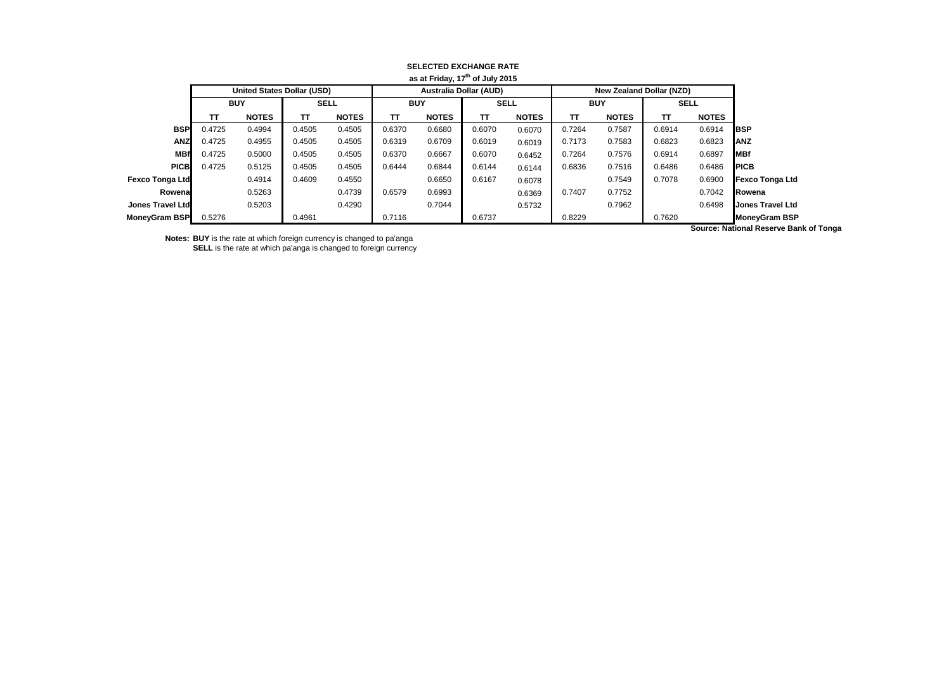| as at Friday, $17^{\circ}$ or July 2015 |            |                            |             |              |            |                               |             |              |            |                                 |             |              |                         |
|-----------------------------------------|------------|----------------------------|-------------|--------------|------------|-------------------------------|-------------|--------------|------------|---------------------------------|-------------|--------------|-------------------------|
|                                         |            | United States Dollar (USD) |             |              |            | <b>Australia Dollar (AUD)</b> |             |              |            | <b>New Zealand Dollar (NZD)</b> |             |              |                         |
|                                         | <b>BUY</b> |                            | <b>SELL</b> |              | <b>BUY</b> |                               | <b>SELL</b> |              | <b>BUY</b> |                                 | <b>SELL</b> |              |                         |
|                                         | TΤ         | <b>NOTES</b>               | TΤ          | <b>NOTES</b> | TΤ         | <b>NOTES</b>                  | TΤ          | <b>NOTES</b> | π          | <b>NOTES</b>                    | тт          | <b>NOTES</b> |                         |
| <b>BSP</b>                              | 0.4725     | 0.4994                     | 0.4505      | 0.4505       | 0.6370     | 0.6680                        | 0.6070      | 0.6070       | 0.7264     | 0.7587                          | 0.6914      | 0.6914       | <b>IBSP</b>             |
| <b>ANZ</b>                              | 0.4725     | 0.4955                     | 0.4505      | 0.4505       | 0.6319     | 0.6709                        | 0.6019      | 0.6019       | 0.7173     | 0.7583                          | 0.6823      | 0.6823       | <b>JANZ</b>             |
| <b>MBf</b>                              | 0.4725     | 0.5000                     | 0.4505      | 0.4505       | 0.6370     | 0.6667                        | 0.6070      | 0.6452       | 0.7264     | 0.7576                          | 0.6914      | 0.6897       | <b>IMBf</b>             |
| <b>PICB</b>                             | 0.4725     | 0.5125                     | 0.4505      | 0.4505       | 0.6444     | 0.6844                        | 0.6144      | 0.6144       | 0.6836     | 0.7516                          | 0.6486      | 0.6486       | <b>IPICB</b>            |
| <b>Fexco Tonga Ltd</b>                  |            | 0.4914                     | 0.4609      | 0.4550       |            | 0.6650                        | 0.6167      | 0.6078       |            | 0.7549                          | 0.7078      | 0.6900       | Fexco Tonga Ltd         |
| Rowenal                                 |            | 0.5263                     |             | 0.4739       | 0.6579     | 0.6993                        |             | 0.6369       | 0.7407     | 0.7752                          |             | 0.7042       | Rowena                  |
| Jones Travel Ltd                        |            | 0.5203                     |             | 0.4290       |            | 0.7044                        |             | 0.5732       |            | 0.7962                          |             | 0.6498       | <b>Jones Travel Ltd</b> |
| <b>MoneyGram BSP</b>                    | 0.5276     |                            | 0.4961      |              | 0.7116     |                               | 0.6737      |              | 0.8229     |                                 | 0.7620      |              | <b>MoneyGram BSP</b>    |
|                                         |            |                            |             |              |            |                               |             |              |            |                                 |             | .<br>$\sim$  |                         |

### **SELECTED EXCHANGE RATE as at Friday, 17th of July 2015**

**Notes: BUY** is the rate at which foreign currency is changed to pa'anga **SELL** is the rate at which pa'anga is changed to foreign currency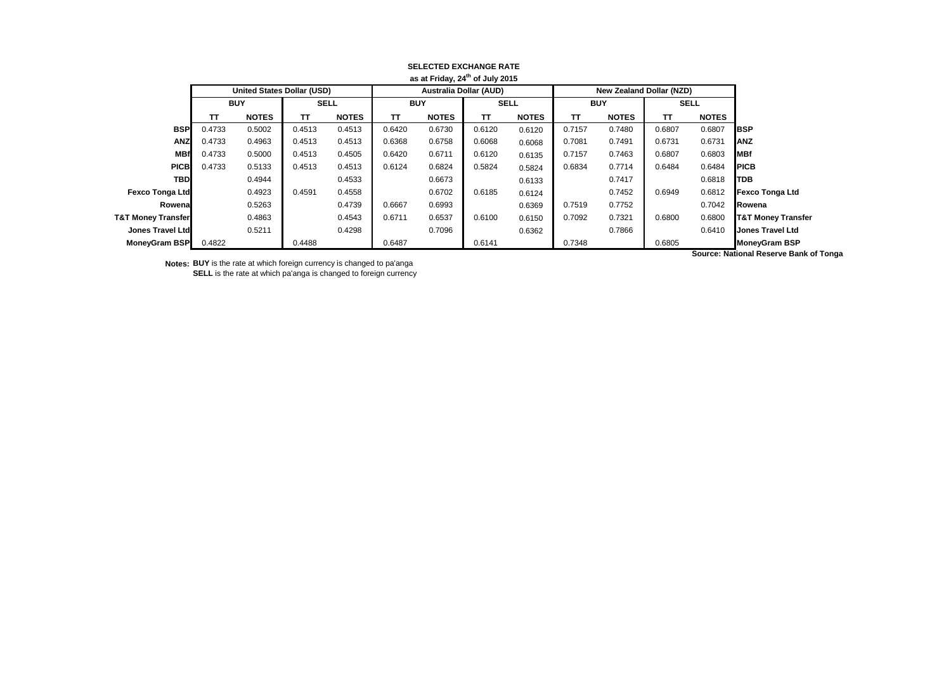| dSal Filudy, 44 OI July 2013  |            |                                   |             |              |            |                               |             |              |            |                                 |             |              |                                                    |
|-------------------------------|------------|-----------------------------------|-------------|--------------|------------|-------------------------------|-------------|--------------|------------|---------------------------------|-------------|--------------|----------------------------------------------------|
|                               |            | <b>United States Dollar (USD)</b> |             |              |            | <b>Australia Dollar (AUD)</b> |             |              |            | <b>New Zealand Dollar (NZD)</b> |             |              |                                                    |
|                               | <b>BUY</b> |                                   | <b>SELL</b> |              | <b>BUY</b> |                               | <b>SELL</b> |              | <b>BUY</b> |                                 | <b>SELL</b> |              |                                                    |
|                               | тт         | <b>NOTES</b>                      | TΤ          | <b>NOTES</b> | π          | <b>NOTES</b>                  | TΤ          | <b>NOTES</b> | TΤ         | <b>NOTES</b>                    | TT.         | <b>NOTES</b> |                                                    |
| <b>BSP</b>                    | 0.4733     | 0.5002                            | 0.4513      | 0.4513       | 0.6420     | 0.6730                        | 0.6120      | 0.6120       | 0.7157     | 0.7480                          | 0.6807      | 0.6807       | <b>IBSP</b>                                        |
| <b>ANZ</b>                    | 0.4733     | 0.4963                            | 0.4513      | 0.4513       | 0.6368     | 0.6758                        | 0.6068      | 0.6068       | 0.7081     | 0.7491                          | 0.6731      | 0.6731       | <b>ANZ</b>                                         |
| <b>MBf</b>                    | 0.4733     | 0.5000                            | 0.4513      | 0.4505       | 0.6420     | 0.6711                        | 0.6120      | 0.6135       | 0.7157     | 0.7463                          | 0.6807      | 0.6803       | <b>IMBf</b>                                        |
| <b>PICB</b>                   | 0.4733     | 0.5133                            | 0.4513      | 0.4513       | 0.6124     | 0.6824                        | 0.5824      | 0.5824       | 0.6834     | 0.7714                          | 0.6484      | 0.6484       | <b>PICB</b>                                        |
| <b>TBDI</b>                   |            | 0.4944                            |             | 0.4533       |            | 0.6673                        |             | 0.6133       |            | 0.7417                          |             | 0.6818       | <b>TDB</b>                                         |
| <b>Fexco Tonga Ltd</b>        |            | 0.4923                            | 0.4591      | 0.4558       |            | 0.6702                        | 0.6185      | 0.6124       |            | 0.7452                          | 0.6949      | 0.6812       | <b>Fexco Tonga Ltd</b>                             |
| Rowenal                       |            | 0.5263                            |             | 0.4739       | 0.6667     | 0.6993                        |             | 0.6369       | 0.7519     | 0.7752                          |             | 0.7042       | <b>IRowena</b>                                     |
| <b>T&amp;T Money Transfer</b> |            | 0.4863                            |             | 0.4543       | 0.6711     | 0.6537                        | 0.6100      | 0.6150       | 0.7092     | 0.7321                          | 0.6800      | 0.6800       | <b>T&amp;T Money Transfer</b>                      |
| Jones Travel Ltd              |            | 0.5211                            |             | 0.4298       |            | 0.7096                        |             | 0.6362       |            | 0.7866                          |             | 0.6410       | Jones Travel Ltd                                   |
| MoneyGram BSP                 | 0.4822     |                                   | 0.4488      |              | 0.6487     |                               | 0.6141      |              | 0.7348     |                                 | 0.6805      |              | <b>MoneyGram BSP</b>                               |
|                               |            |                                   |             |              |            |                               |             |              |            |                                 |             |              | $\bullet$ . The Matter state is a set of $\bullet$ |

## **SELECTED EXCHANGE RATE as at Friday, 24th of July 2015**

**Notes: BUY** is the rate at which foreign currency is changed to pa'anga

**SELL** is the rate at which pa'anga is changed to foreign currency